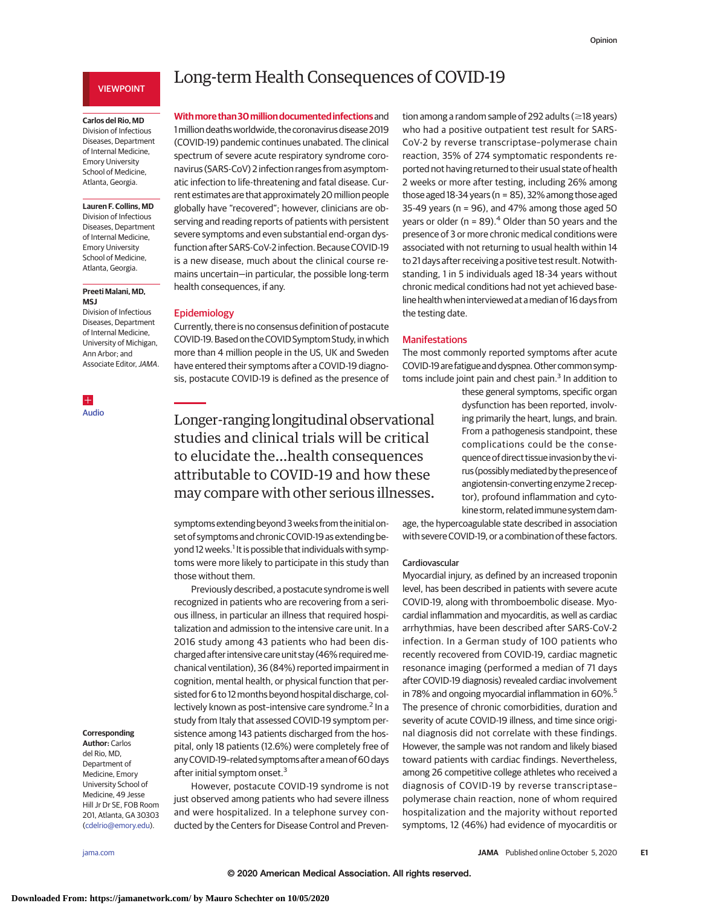## VIEWPOINT

## **Carlos del Rio, MD**

Division of Infectious Diseases, Department of Internal Medicine, Emory University School of Medicine, Atlanta, Georgia.

**Lauren F. Collins, MD** Division of Infectious Diseases, Department of Internal Medicine, Emory University School of Medicine, Atlanta, Georgia.

### **Preeti Malani, MD, MSJ**

Division of Infectious Diseases, Department of Internal Medicine, University of Michigan, Ann Arbor; and Associate Editor, JAMA

 $\pm$ [Audio](https://jamanetwork.com/learning/audio-player/10.1001/jama.2020.20677?utm_campaign=articlePDF%26utm_medium=articlePDFlink%26utm_source=articlePDF%26utm_content=jama.2020.19719)

# Long-term Health Consequences of COVID-19

**Withmore than30milliondocumentedinfections**and 1million deathsworldwide, the coronavirus disease 2019 (COVID-19) pandemic continues unabated. The clinical spectrum of severe acute respiratory syndrome coronavirus (SARS-CoV) 2 infection ranges from asymptomatic infection to life-threatening and fatal disease. Current estimates are that approximately 20 million people globally have "recovered"; however, clinicians are observing and reading reports of patients with persistent severe symptoms and even substantial end-organ dysfunction after SARS-CoV-2 infection. Because COVID-19 is a new disease, much about the clinical course remains uncertain—in particular, the possible long-term health consequences, if any.

## Epidemiology

Currently, there is no consensus definition of postacute COVID-19. Based on the COVIDSymptomStudy, inwhich more than 4 million people in the US, UK and Sweden have entered their symptoms after a COVID-19 diagnosis, postacute COVID-19 is defined as the presence of

Longer-ranging longitudinal observational studies and clinical trials will be critical to elucidate the…health consequences attributable to COVID-19 and how these may compare with other serious illnesses.

symptomsextending beyond 3weeks from the initial onset of symptoms and chronic COVID-19 as extending beyond 12 weeks.<sup>1</sup> It is possible that individuals with symptoms were more likely to participate in this study than those without them.

Previously described, a postacute syndrome is well recognized in patients who are recovering from a serious illness, in particular an illness that required hospitalization and admission to the intensive care unit. In a 2016 study among 43 patients who had been discharged after intensive care unit stay (46% requiredmechanical ventilation), 36 (84%) reported impairment in cognition, mental health, or physical function that persisted for 6 to 12 months beyond hospital discharge, collectively known as post-intensive care syndrome.<sup>2</sup> In a study from Italy that assessed COVID-19 symptom persistence among 143 patients discharged from the hospital, only 18 patients (12.6%) were completely free of any COVID-19-related symptoms after a mean of 60 days after initial symptom onset.<sup>3</sup>

However, postacute COVID-19 syndrome is not just observed among patients who had severe illness and were hospitalized. In a telephone survey conducted by the Centers for Disease Control and Preven-

tion among a random sample of 292 adults ( $\geq$ 18 years) who had a positive outpatient test result for SARS-CoV-2 by reverse transcriptase–polymerase chain reaction, 35% of 274 symptomatic respondents reported not having returned to their usual state of health 2 weeks or more after testing, including 26% among those aged 18-34 years ( $n = 85$ ), 32% among those aged 35-49 years ( $n = 96$ ), and 47% among those aged 50 years or older ( $n = 89$ ).<sup>4</sup> Older than 50 years and the presence of 3 or more chronic medical conditions were associated with not returning to usual health within 14 to 21 days after receiving a positive test result. Notwithstanding, 1 in 5 individuals aged 18-34 years without chronic medical conditions had not yet achieved baseline healthwhen interviewed at amedian of 16 days from the testing date.

#### Manifestations

The most commonly reported symptoms after acute COVID-19 are fatigue and dyspnea. Other common symptoms include joint pain and chest pain. $3$  In addition to

> these general symptoms, specific organ dysfunction has been reported, involving primarily the heart, lungs, and brain. From a pathogenesis standpoint, these complications could be the consequence of direct tissue invasion by the virus (possiblymediated by the presence of angiotensin-converting enzyme 2 receptor), profound inflammation and cytokine storm, related immune system dam-

age, the hypercoagulable state described in association with severe COVID-19, or a combination of these factors.

#### Cardiovascular

Myocardial injury, as defined by an increased troponin level, has been described in patients with severe acute COVID-19, along with thromboembolic disease. Myocardial inflammation and myocarditis, as well as cardiac arrhythmias, have been described after SARS-CoV-2 infection. In a German study of 100 patients who recently recovered from COVID-19, cardiac magnetic resonance imaging (performed a median of 71 days after COVID-19 diagnosis) revealed cardiac involvement in 78% and ongoing myocardial inflammation in 60%.<sup>5</sup> The presence of chronic comorbidities, duration and severity of acute COVID-19 illness, and time since original diagnosis did not correlate with these findings. However, the sample was not random and likely biased toward patients with cardiac findings. Nevertheless, among 26 competitive college athletes who received a diagnosis of COVID-19 by reverse transcriptase– polymerase chain reaction, none of whom required hospitalization and the majority without reported symptoms, 12 (46%) had evidence of myocarditis or

#### **Corresponding Author:** Carlos

del Rio, MD, Department of Medicine, Emory University School of Medicine, 49 Jesse Hill Jr Dr SE, FOB Room 201, Atlanta, GA 30303 [\(cdelrio@emory.edu\)](mailto:cdelrio@emory.edu).